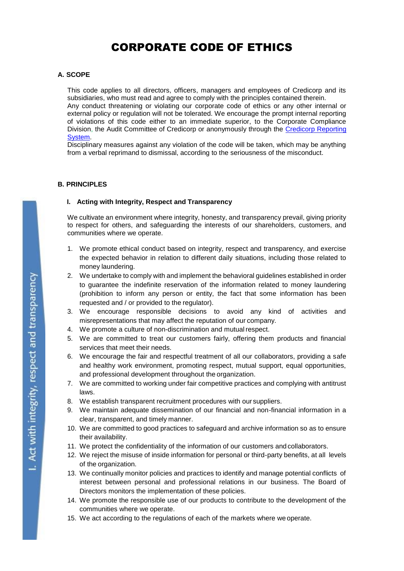# CORPORATE CODE OF ETHICS

# **A. SCOPE**

This code applies to all directors, officers, managers and employees of Credicorp and its subsidiaries, who must read and agree to comply with the principles contained therein.

Any conduct threatening or violating our corporate code of ethics or any other internal or external policy or regulation will not be tolerated. We encourage the prompt internal reporting of violations of this code either to an immediate superior, to the Corporate Compliance Division, the Audit Committee of Credicorp or anonymously through the [Credicorp Reporting](https://secure.ethicspoint.com/domain/media/es/gui/56087/index.html)  [System.](https://secure.ethicspoint.com/domain/media/es/gui/56087/index.html)

Disciplinary measures against any violation of the code will be taken, which may be anything from a verbal reprimand to dismissal, according to the seriousness of the misconduct.

## **B. PRINCIPLES**

#### **I. Acting with Integrity, Respect and Transparency**

We cultivate an environment where integrity, honesty, and transparency prevail, giving priority to respect for others, and safeguarding the interests of our shareholders, customers, and communities where we operate.

- 1. We promote ethical conduct based on integrity, respect and transparency, and exercise the expected behavior in relation to different daily situations, including those related to money laundering.
- 2. We undertake to comply with and implement the behavioral guidelines established in order to guarantee the indefinite reservation of the information related to money laundering (prohibition to inform any person or entity, the fact that some information has been requested and / or provided to the regulator).
- 3. We encourage responsible decisions to avoid any kind of activities and misrepresentations that may affect the reputation of our company.
- 4. We promote a culture of non-discrimination and mutual respect.
- 5. We are committed to treat our customers fairly, offering them products and financial services that meet their needs.
- 6. We encourage the fair and respectful treatment of all our collaborators, providing a safe and healthy work environment, promoting respect, mutual support, equal opportunities, and professional development throughout the organization.
- 7. We are committed to working under fair competitive practices and complying with antitrust laws.
- 8. We establish transparent recruitment procedures with our suppliers.
- 9. We maintain adequate dissemination of our financial and non-financial information in a clear, transparent, and timely manner.
- 10. We are committed to good practices to safeguard and archive information so as to ensure their availability.
- 11. We protect the confidentiality of the information of our customers and collaborators.
- 12. We reject the misuse of inside information for personal or third-party benefits, at all levels of the organization.
- 13. We continually monitor policies and practices to identify and manage potential conflicts of interest between personal and professional relations in our business. The Board of Directors monitors the implementation of these policies.
- 14. We promote the responsible use of our products to contribute to the development of the communities where we operate.
- 15. We act according to the regulations of each of the markets where weoperate.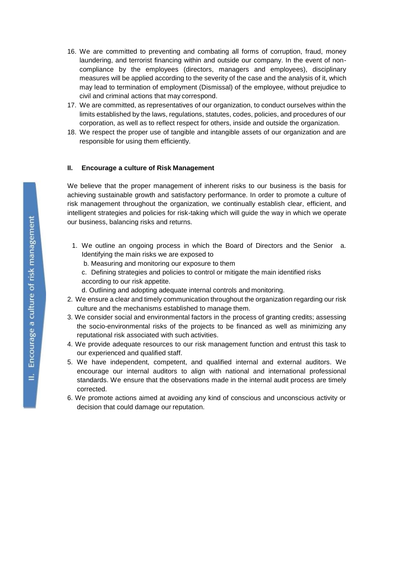- 16. We are committed to preventing and combating all forms of corruption, fraud, money laundering, and terrorist financing within and outside our company. In the event of noncompliance by the employees (directors, managers and employees), disciplinary measures will be applied according to the severity of the case and the analysis of it, which may lead to termination of employment (Dismissal) of the employee, without prejudice to civil and criminal actions that may correspond.
- 17. We are committed, as representatives of our organization, to conduct ourselves within the limits established by the laws, regulations, statutes, codes, policies, and procedures of our corporation, as well as to reflect respect for others, inside and outside the organization.
- 18. We respect the proper use of tangible and intangible assets of our organization and are responsible for using them efficiently.

## **II. Encourage a culture of Risk Management**

We believe that the proper management of inherent risks to our business is the basis for achieving sustainable growth and satisfactory performance. In order to promote a culture of risk management throughout the organization, we continually establish clear, efficient, and intelligent strategies and policies for risk-taking which will guide the way in which we operate our business, balancing risks and returns.

- 1. We outline an ongoing process in which the Board of Directors and the Senior a. Identifying the main risks we are exposed to
	- b. Measuring and monitoring our exposure to them
	- c. Defining strategies and policies to control or mitigate the main identified risks according to our risk appetite.
	- d. Outlining and adopting adequate internal controls and monitoring.
- 2. We ensure a clear and timely communication throughout the organization regarding our risk culture and the mechanisms established to manage them.
- 3. We consider social and environmental factors in the process of granting credits; assessing the socio-environmental risks of the projects to be financed as well as minimizing any reputational risk associated with such activities.
- 4. We provide adequate resources to our risk management function and entrust this task to our experienced and qualified staff.
- 5. We have independent, competent, and qualified internal and external auditors. We encourage our internal auditors to align with national and international professional standards. We ensure that the observations made in the internal audit process are timely corrected.
- 6. We promote actions aimed at avoiding any kind of conscious and unconscious activity or decision that could damage our reputation.